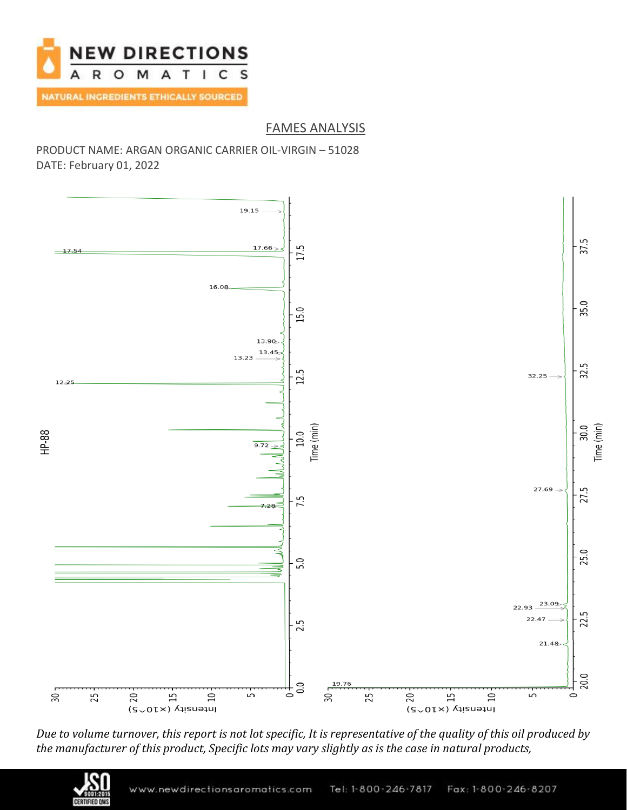

## FAMES ANALYSIS

PRODUCT NAME: ARGAN ORGANIC CARRIER OIL-VIRGIN – 51028 DATE: February 01, 2022



*Due to volume turnover, this report is not lot specific, It is representative of the quality of this oil produced by the manufacturer of this product, Specific lots may vary slightly as is the case in natural products,*